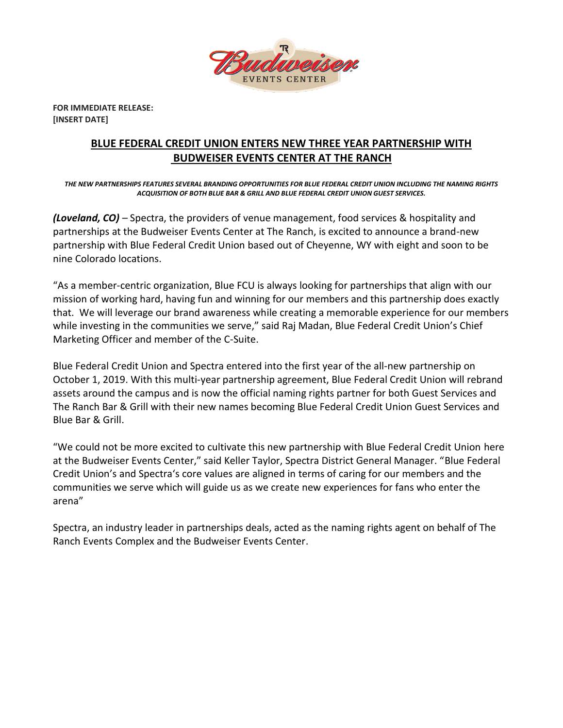

**FOR IMMEDIATE RELEASE: [INSERT DATE]**

## **BLUE FEDERAL CREDIT UNION ENTERS NEW THREE YEAR PARTNERSHIP WITH BUDWEISER EVENTS CENTER AT THE RANCH**

*THE NEW PARTNERSHIPS FEATURES SEVERAL BRANDING OPPORTUNITIES FOR BLUE FEDERAL CREDIT UNION INCLUDING THE NAMING RIGHTS ACQUISITION OF BOTH BLUE BAR & GRILL AND BLUE FEDERAL CREDIT UNION GUEST SERVICES.*

*(Loveland, CO) –* Spectra, the providers of venue management, food services & hospitality and partnerships at the Budweiser Events Center at The Ranch, is excited to announce a brand-new partnership with Blue Federal Credit Union based out of Cheyenne, WY with eight and soon to be nine Colorado locations.

"As a member-centric organization, Blue FCU is always looking for partnerships that align with our mission of working hard, having fun and winning for our members and this partnership does exactly that. We will leverage our brand awareness while creating a memorable experience for our members while investing in the communities we serve," said Raj Madan, Blue Federal Credit Union's Chief Marketing Officer and member of the C-Suite.

Blue Federal Credit Union and Spectra entered into the first year of the all-new partnership on October 1, 2019. With this multi-year partnership agreement, Blue Federal Credit Union will rebrand assets around the campus and is now the official naming rights partner for both Guest Services and The Ranch Bar & Grill with their new names becoming Blue Federal Credit Union Guest Services and Blue Bar & Grill.

"We could not be more excited to cultivate this new partnership with Blue Federal Credit Union here at the Budweiser Events Center," said Keller Taylor, Spectra District General Manager. "Blue Federal Credit Union's and Spectra's core values are aligned in terms of caring for our members and the communities we serve which will guide us as we create new experiences for fans who enter the arena"

Spectra, an industry leader in partnerships deals, acted as the naming rights agent on behalf of The Ranch Events Complex and the Budweiser Events Center.